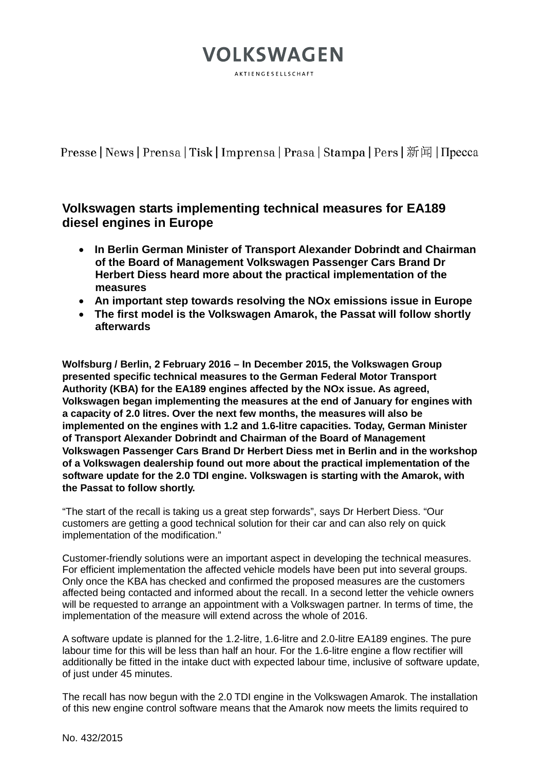## **VOLKSWAGEN** AKTIENGESELLSCHAFT

Presse | News | Prensa | Tisk | Imprensa | Prasa | Stampa | Pers | 新闻 | Пресса

## **Volkswagen starts implementing technical measures for EA189 diesel engines in Europe**

- **In Berlin German Minister of Transport Alexander Dobrindt and Chairman of the Board of Management Volkswagen Passenger Cars Brand Dr Herbert Diess heard more about the practical implementation of the measures**
- **An important step towards resolving the NOx emissions issue in Europe**
- **The first model is the Volkswagen Amarok, the Passat will follow shortly afterwards**

**Wolfsburg / Berlin, 2 February 2016 – In December 2015, the Volkswagen Group presented specific technical measures to the German Federal Motor Transport Authority (KBA) for the EA189 engines affected by the NOx issue. As agreed, Volkswagen began implementing the measures at the end of January for engines with a capacity of 2.0 litres. Over the next few months, the measures will also be implemented on the engines with 1.2 and 1.6-litre capacities. Today, German Minister of Transport Alexander Dobrindt and Chairman of the Board of Management Volkswagen Passenger Cars Brand Dr Herbert Diess met in Berlin and in the workshop of a Volkswagen dealership found out more about the practical implementation of the software update for the 2.0 TDI engine. Volkswagen is starting with the Amarok, with the Passat to follow shortly.**

"The start of the recall is taking us a great step forwards", says Dr Herbert Diess. "Our customers are getting a good technical solution for their car and can also rely on quick implementation of the modification."

Customer-friendly solutions were an important aspect in developing the technical measures. For efficient implementation the affected vehicle models have been put into several groups. Only once the KBA has checked and confirmed the proposed measures are the customers affected being contacted and informed about the recall. In a second letter the vehicle owners will be requested to arrange an appointment with a Volkswagen partner. In terms of time, the implementation of the measure will extend across the whole of 2016.

A software update is planned for the 1.2-litre, 1.6-litre and 2.0-litre EA189 engines. The pure labour time for this will be less than half an hour. For the 1.6-litre engine a flow rectifier will additionally be fitted in the intake duct with expected labour time, inclusive of software update, of just under 45 minutes.

The recall has now begun with the 2.0 TDI engine in the Volkswagen Amarok. The installation of this new engine control software means that the Amarok now meets the limits required to